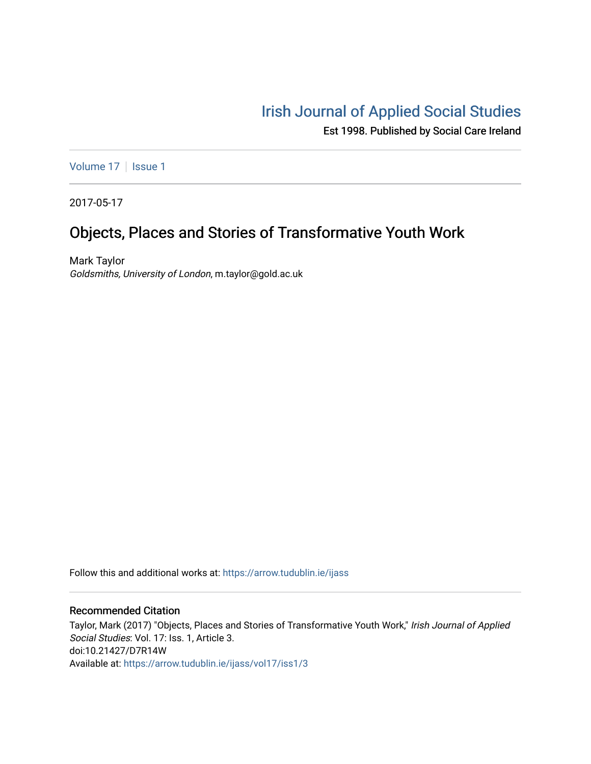# [Irish Journal of Applied Social Studies](https://arrow.tudublin.ie/ijass)

Est 1998. Published by Social Care Ireland

[Volume 17](https://arrow.tudublin.ie/ijass/vol17) | [Issue 1](https://arrow.tudublin.ie/ijass/vol17/iss1)

2017-05-17

# Objects, Places and Stories of Transformative Youth Work

Mark Taylor Goldsmiths, University of London, m.taylor@gold.ac.uk

Follow this and additional works at: [https://arrow.tudublin.ie/ijass](https://arrow.tudublin.ie/ijass?utm_source=arrow.tudublin.ie%2Fijass%2Fvol17%2Fiss1%2F3&utm_medium=PDF&utm_campaign=PDFCoverPages) 

## Recommended Citation

Taylor, Mark (2017) "Objects, Places and Stories of Transformative Youth Work," Irish Journal of Applied Social Studies: Vol. 17: Iss. 1, Article 3. doi:10.21427/D7R14W Available at: [https://arrow.tudublin.ie/ijass/vol17/iss1/3](https://arrow.tudublin.ie/ijass/vol17/iss1/3?utm_source=arrow.tudublin.ie%2Fijass%2Fvol17%2Fiss1%2F3&utm_medium=PDF&utm_campaign=PDFCoverPages)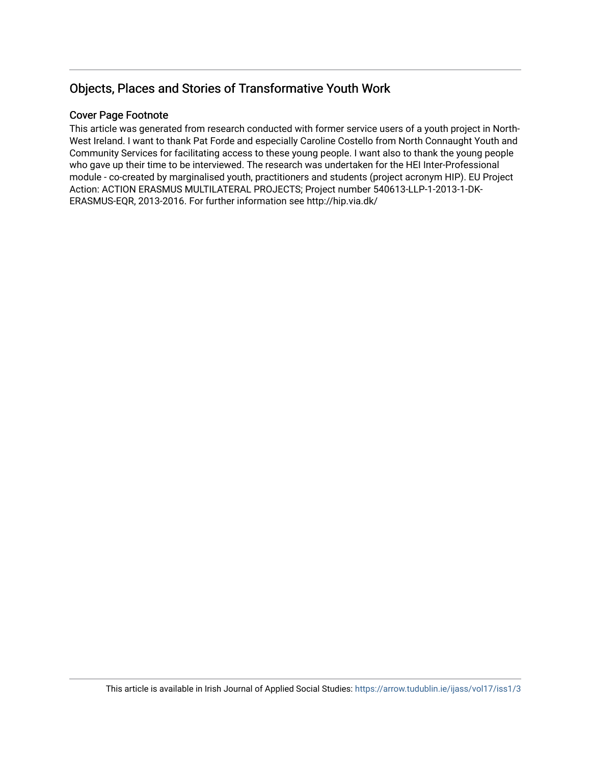## Objects, Places and Stories of Transformative Youth Work

## Cover Page Footnote

This article was generated from research conducted with former service users of a youth project in North-West Ireland. I want to thank Pat Forde and especially Caroline Costello from North Connaught Youth and Community Services for facilitating access to these young people. I want also to thank the young people who gave up their time to be interviewed. The research was undertaken for the HEI Inter-Professional module - co-created by marginalised youth, practitioners and students (project acronym HIP). EU Project Action: ACTION ERASMUS MULTILATERAL PROJECTS; Project number 540613-LLP-1-2013-1-DK-ERASMUS-EQR, 2013-2016. For further information see http://hip.via.dk/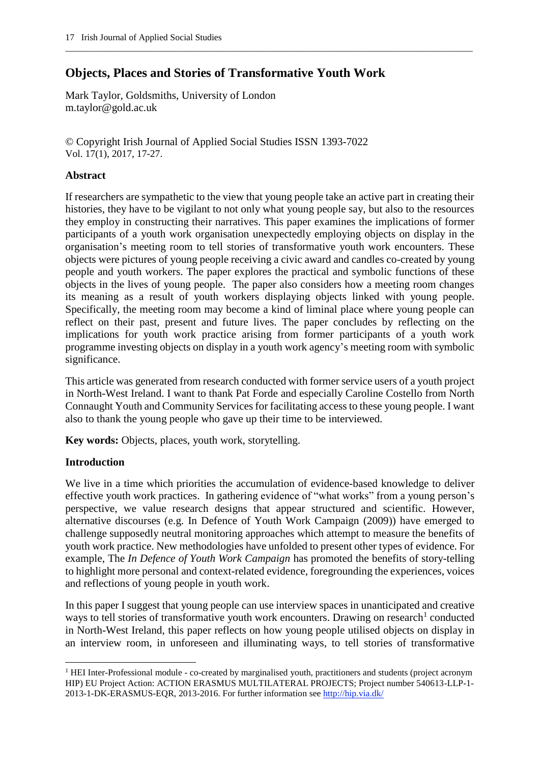## **Objects, Places and Stories of Transformative Youth Work**

Mark Taylor, Goldsmiths, University of London m.taylor@gold.ac.uk

© Copyright Irish Journal of Applied Social Studies ISSN 1393-7022 Vol. 17(1), 2017, 17-27.

## **Abstract**

If researchers are sympathetic to the view that young people take an active part in creating their histories, they have to be vigilant to not only what young people say, but also to the resources they employ in constructing their narratives. This paper examines the implications of former participants of a youth work organisation unexpectedly employing objects on display in the organisation's meeting room to tell stories of transformative youth work encounters. These objects were pictures of young people receiving a civic award and candles co-created by young people and youth workers. The paper explores the practical and symbolic functions of these objects in the lives of young people. The paper also considers how a meeting room changes its meaning as a result of youth workers displaying objects linked with young people. Specifically, the meeting room may become a kind of liminal place where young people can reflect on their past, present and future lives. The paper concludes by reflecting on the implications for youth work practice arising from former participants of a youth work programme investing objects on display in a youth work agency's meeting room with symbolic significance.

\_\_\_\_\_\_\_\_\_\_\_\_\_\_\_\_\_\_\_\_\_\_\_\_\_\_\_\_\_\_\_\_\_\_\_\_\_\_\_\_\_\_\_\_\_\_\_\_\_\_\_\_\_\_\_\_\_\_\_\_\_\_\_\_\_\_\_\_\_\_\_\_\_\_\_\_\_\_\_\_\_\_\_\_\_\_\_\_\_\_

This article was generated from research conducted with former service users of a youth project in North-West Ireland. I want to thank Pat Forde and especially Caroline Costello from North Connaught Youth and Community Services for facilitating access to these young people. I want also to thank the young people who gave up their time to be interviewed.

**Key words:** Objects, places, youth work, storytelling.

## **Introduction**

 $\overline{a}$ 

We live in a time which priorities the accumulation of evidence-based knowledge to deliver effective youth work practices. In gathering evidence of "what works" from a young person's perspective, we value research designs that appear structured and scientific. However, alternative discourses (e.g. In Defence of Youth Work Campaign (2009)) have emerged to challenge supposedly neutral monitoring approaches which attempt to measure the benefits of youth work practice. New methodologies have unfolded to present other types of evidence. For example, The *In Defence of Youth Work Campaign* has promoted the benefits of story-telling to highlight more personal and context-related evidence, foregrounding the experiences, voices and reflections of young people in youth work.

In this paper I suggest that young people can use interview spaces in unanticipated and creative ways to tell stories of transformative youth work encounters. Drawing on research<sup>1</sup> conducted in North-West Ireland, this paper reflects on how young people utilised objects on display in an interview room, in unforeseen and illuminating ways, to tell stories of transformative

<sup>&</sup>lt;sup>1</sup> HEI Inter-Professional module - co-created by marginalised youth, practitioners and students (project acronym HIP) EU Project Action: ACTION ERASMUS MULTILATERAL PROJECTS; Project number 540613-LLP-1- 2013-1-DK-ERASMUS-EQR, 2013-2016. For further information see [http://hip.via.dk/](https://outlook.office.com/owa/redir.aspx?REF=GBvV8ldgL-s69hZKqqe8qdW2tEzUnDXxLiGxbe04zni8TxPKTEDUCAFodHRwOi8vaGlwLnZpYS5kay8.)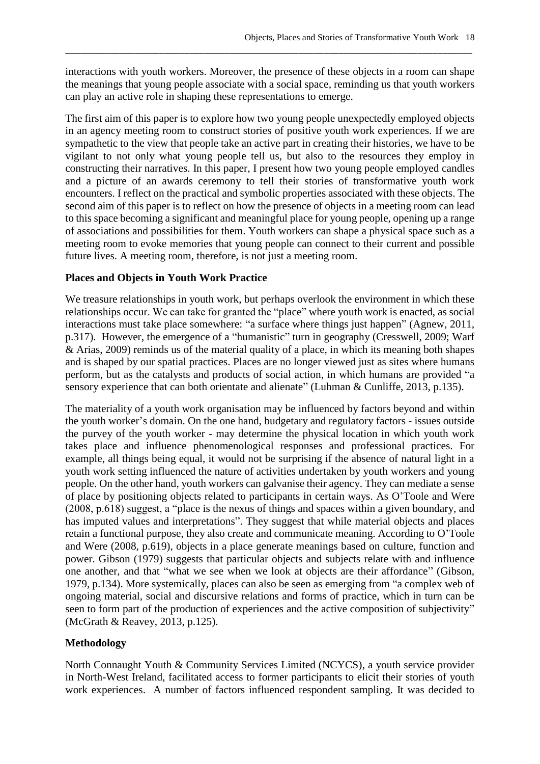interactions with youth workers. Moreover, the presence of these objects in a room can shape the meanings that young people associate with a social space, reminding us that youth workers can play an active role in shaping these representations to emerge.

\_\_\_\_\_\_\_\_\_\_\_\_\_\_\_\_\_\_\_\_\_\_\_\_\_\_\_\_\_\_\_\_\_\_\_\_\_\_\_\_\_\_\_\_\_\_\_\_\_\_\_\_\_\_\_\_\_\_\_\_\_\_\_\_\_\_\_\_\_\_\_\_\_\_\_\_\_\_\_\_\_\_

The first aim of this paper is to explore how two young people unexpectedly employed objects in an agency meeting room to construct stories of positive youth work experiences. If we are sympathetic to the view that people take an active part in creating their histories, we have to be vigilant to not only what young people tell us, but also to the resources they employ in constructing their narratives. In this paper, I present how two young people employed candles and a picture of an awards ceremony to tell their stories of transformative youth work encounters. I reflect on the practical and symbolic properties associated with these objects. The second aim of this paper is to reflect on how the presence of objects in a meeting room can lead to this space becoming a significant and meaningful place for young people, opening up a range of associations and possibilities for them. Youth workers can shape a physical space such as a meeting room to evoke memories that young people can connect to their current and possible future lives. A meeting room, therefore, is not just a meeting room.

## **Places and Objects in Youth Work Practice**

We treasure relationships in youth work, but perhaps overlook the environment in which these relationships occur. We can take for granted the "place" where youth work is enacted, as social interactions must take place somewhere: "a surface where things just happen" (Agnew, 2011, p.317). However, the emergence of a "humanistic" turn in geography (Cresswell, 2009; Warf & Arias, 2009) reminds us of the material quality of a place, in which its meaning both shapes and is shaped by our spatial practices. Places are no longer viewed just as sites where humans perform, but as the catalysts and products of social action, in which humans are provided "a sensory experience that can both orientate and alienate" (Luhman & Cunliffe, 2013, p.135).

The materiality of a youth work organisation may be influenced by factors beyond and within the youth worker's domain. On the one hand, budgetary and regulatory factors - issues outside the purvey of the youth worker - may determine the physical location in which youth work takes place and influence phenomenological responses and professional practices. For example, all things being equal, it would not be surprising if the absence of natural light in a youth work setting influenced the nature of activities undertaken by youth workers and young people. On the other hand, youth workers can galvanise their agency. They can mediate a sense of place by positioning objects related to participants in certain ways. As O'Toole and Were (2008, p.618) suggest, a "place is the nexus of things and spaces within a given boundary, and has imputed values and interpretations". They suggest that while material objects and places retain a functional purpose, they also create and communicate meaning. According to O'Toole and Were (2008, p.619), objects in a place generate meanings based on culture, function and power. Gibson (1979) suggests that particular objects and subjects relate with and influence one another, and that "what we see when we look at objects are their affordance" (Gibson, 1979, p.134). More systemically, places can also be seen as emerging from "a complex web of ongoing material, social and discursive relations and forms of practice, which in turn can be seen to form part of the production of experiences and the active composition of subjectivity" (McGrath & Reavey, 2013, p.125).

## **Methodology**

North Connaught Youth & Community Services Limited (NCYCS), a youth service provider in North-West Ireland, facilitated access to former participants to elicit their stories of youth work experiences. A number of factors influenced respondent sampling. It was decided to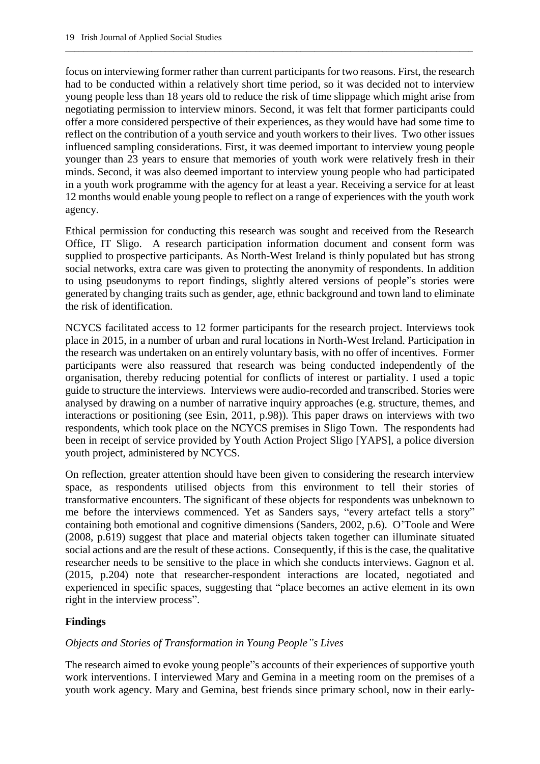focus on interviewing former rather than current participants for two reasons. First, the research had to be conducted within a relatively short time period, so it was decided not to interview young people less than 18 years old to reduce the risk of time slippage which might arise from negotiating permission to interview minors. Second, it was felt that former participants could offer a more considered perspective of their experiences, as they would have had some time to reflect on the contribution of a youth service and youth workers to their lives. Two other issues influenced sampling considerations. First, it was deemed important to interview young people younger than 23 years to ensure that memories of youth work were relatively fresh in their minds. Second, it was also deemed important to interview young people who had participated in a youth work programme with the agency for at least a year. Receiving a service for at least 12 months would enable young people to reflect on a range of experiences with the youth work agency.

\_\_\_\_\_\_\_\_\_\_\_\_\_\_\_\_\_\_\_\_\_\_\_\_\_\_\_\_\_\_\_\_\_\_\_\_\_\_\_\_\_\_\_\_\_\_\_\_\_\_\_\_\_\_\_\_\_\_\_\_\_\_\_\_\_\_\_\_\_\_\_\_\_\_\_\_\_\_\_\_\_\_\_\_\_\_\_\_\_\_

Ethical permission for conducting this research was sought and received from the Research Office, IT Sligo. A research participation information document and consent form was supplied to prospective participants. As North-West Ireland is thinly populated but has strong social networks, extra care was given to protecting the anonymity of respondents. In addition to using pseudonyms to report findings, slightly altered versions of people"s stories were generated by changing traits such as gender, age, ethnic background and town land to eliminate the risk of identification.

NCYCS facilitated access to 12 former participants for the research project. Interviews took place in 2015, in a number of urban and rural locations in North-West Ireland. Participation in the research was undertaken on an entirely voluntary basis, with no offer of incentives. Former participants were also reassured that research was being conducted independently of the organisation, thereby reducing potential for conflicts of interest or partiality. I used a topic guide to structure the interviews. Interviews were audio-recorded and transcribed. Stories were analysed by drawing on a number of narrative inquiry approaches (e.g. structure, themes, and interactions or positioning (see Esin, 2011, p.98)). This paper draws on interviews with two respondents, which took place on the NCYCS premises in Sligo Town. The respondents had been in receipt of service provided by Youth Action Project Sligo [YAPS], a police diversion youth project, administered by NCYCS.

On reflection, greater attention should have been given to considering the research interview space, as respondents utilised objects from this environment to tell their stories of transformative encounters. The significant of these objects for respondents was unbeknown to me before the interviews commenced. Yet as Sanders says, "every artefact tells a story" containing both emotional and cognitive dimensions (Sanders, 2002, p.6). O'Toole and Were (2008, p.619) suggest that place and material objects taken together can illuminate situated social actions and are the result of these actions. Consequently, if this is the case, the qualitative researcher needs to be sensitive to the place in which she conducts interviews. Gagnon et al. (2015, p.204) note that researcher-respondent interactions are located, negotiated and experienced in specific spaces, suggesting that "place becomes an active element in its own right in the interview process".

## **Findings**

## *Objects and Stories of Transformation in Young People"s Lives*

The research aimed to evoke young people"s accounts of their experiences of supportive youth work interventions. I interviewed Mary and Gemina in a meeting room on the premises of a youth work agency. Mary and Gemina, best friends since primary school, now in their early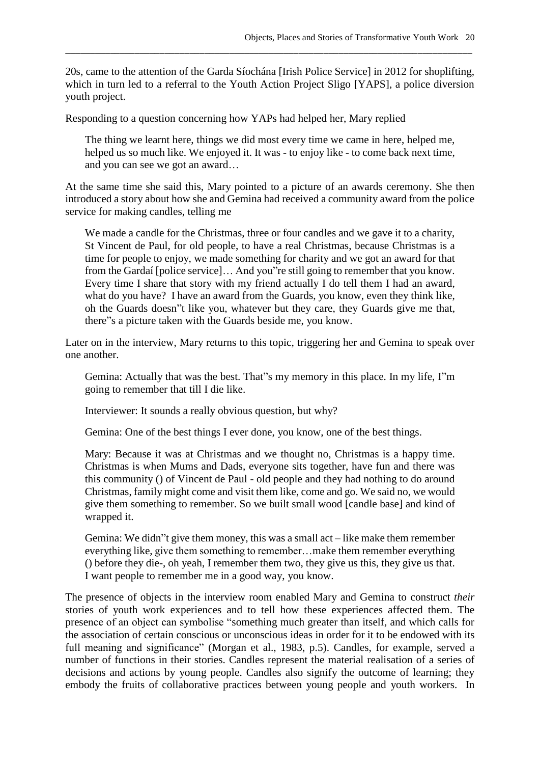20s, came to the attention of the Garda Síochána [Irish Police Service] in 2012 for shoplifting, which in turn led to a referral to the Youth Action Project Sligo [YAPS], a police diversion youth project.

\_\_\_\_\_\_\_\_\_\_\_\_\_\_\_\_\_\_\_\_\_\_\_\_\_\_\_\_\_\_\_\_\_\_\_\_\_\_\_\_\_\_\_\_\_\_\_\_\_\_\_\_\_\_\_\_\_\_\_\_\_\_\_\_\_\_\_\_\_\_\_\_\_\_\_\_\_\_\_\_\_\_

Responding to a question concerning how YAPs had helped her, Mary replied

The thing we learnt here, things we did most every time we came in here, helped me, helped us so much like. We enjoyed it. It was - to enjoy like - to come back next time, and you can see we got an award…

At the same time she said this, Mary pointed to a picture of an awards ceremony. She then introduced a story about how she and Gemina had received a community award from the police service for making candles, telling me

We made a candle for the Christmas, three or four candles and we gave it to a charity, St Vincent de Paul, for old people, to have a real Christmas, because Christmas is a time for people to enjoy, we made something for charity and we got an award for that from the Gardaí [police service]… And you"re still going to remember that you know. Every time I share that story with my friend actually I do tell them I had an award, what do you have? I have an award from the Guards, you know, even they think like, oh the Guards doesn"t like you, whatever but they care, they Guards give me that, there"s a picture taken with the Guards beside me, you know.

Later on in the interview, Mary returns to this topic, triggering her and Gemina to speak over one another.

Gemina: Actually that was the best. That"s my memory in this place. In my life, I"m going to remember that till I die like.

Interviewer: It sounds a really obvious question, but why?

Gemina: One of the best things I ever done, you know, one of the best things.

Mary: Because it was at Christmas and we thought no, Christmas is a happy time. Christmas is when Mums and Dads, everyone sits together, have fun and there was this community () of Vincent de Paul - old people and they had nothing to do around Christmas, family might come and visit them like, come and go. We said no, we would give them something to remember. So we built small wood [candle base] and kind of wrapped it.

Gemina: We didn"t give them money, this was a small act – like make them remember everything like, give them something to remember…make them remember everything () before they die-, oh yeah, I remember them two, they give us this, they give us that. I want people to remember me in a good way, you know.

The presence of objects in the interview room enabled Mary and Gemina to construct *their*  stories of youth work experiences and to tell how these experiences affected them. The presence of an object can symbolise "something much greater than itself, and which calls for the association of certain conscious or unconscious ideas in order for it to be endowed with its full meaning and significance" (Morgan et al., 1983, p.5). Candles, for example, served a number of functions in their stories. Candles represent the material realisation of a series of decisions and actions by young people. Candles also signify the outcome of learning; they embody the fruits of collaborative practices between young people and youth workers. In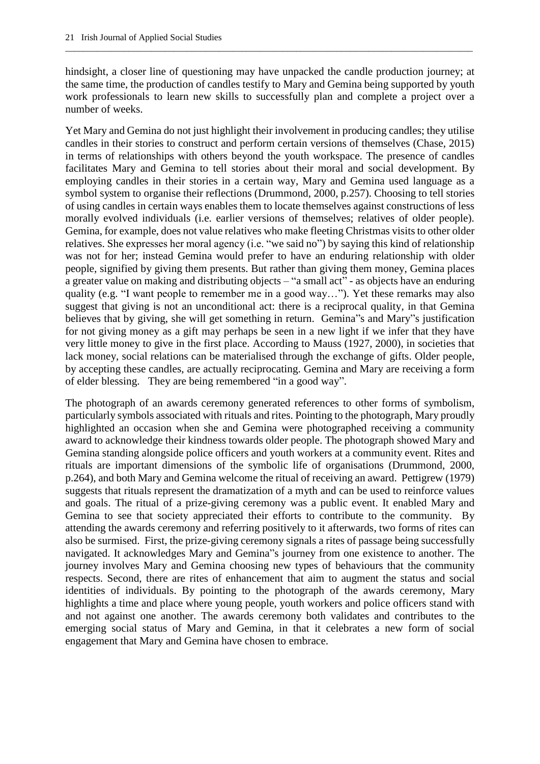hindsight, a closer line of questioning may have unpacked the candle production journey; at the same time, the production of candles testify to Mary and Gemina being supported by youth work professionals to learn new skills to successfully plan and complete a project over a number of weeks.

\_\_\_\_\_\_\_\_\_\_\_\_\_\_\_\_\_\_\_\_\_\_\_\_\_\_\_\_\_\_\_\_\_\_\_\_\_\_\_\_\_\_\_\_\_\_\_\_\_\_\_\_\_\_\_\_\_\_\_\_\_\_\_\_\_\_\_\_\_\_\_\_\_\_\_\_\_\_\_\_\_\_\_\_\_\_\_\_\_\_

Yet Mary and Gemina do not just highlight their involvement in producing candles; they utilise candles in their stories to construct and perform certain versions of themselves (Chase, 2015) in terms of relationships with others beyond the youth workspace. The presence of candles facilitates Mary and Gemina to tell stories about their moral and social development. By employing candles in their stories in a certain way, Mary and Gemina used language as a symbol system to organise their reflections (Drummond, 2000, p.257). Choosing to tell stories of using candles in certain ways enables them to locate themselves against constructions of less morally evolved individuals (i.e. earlier versions of themselves; relatives of older people). Gemina, for example, does not value relatives who make fleeting Christmas visits to other older relatives. She expresses her moral agency (i.e. "we said no") by saying this kind of relationship was not for her; instead Gemina would prefer to have an enduring relationship with older people, signified by giving them presents. But rather than giving them money, Gemina places a greater value on making and distributing objects – "a small act" - as objects have an enduring quality (e.g. "I want people to remember me in a good way…"). Yet these remarks may also suggest that giving is not an unconditional act: there is a reciprocal quality, in that Gemina believes that by giving, she will get something in return. Gemina"s and Mary"s justification for not giving money as a gift may perhaps be seen in a new light if we infer that they have very little money to give in the first place. According to Mauss (1927, 2000), in societies that lack money, social relations can be materialised through the exchange of gifts. Older people, by accepting these candles, are actually reciprocating. Gemina and Mary are receiving a form of elder blessing. They are being remembered "in a good way".

The photograph of an awards ceremony generated references to other forms of symbolism, particularly symbols associated with rituals and rites. Pointing to the photograph, Mary proudly highlighted an occasion when she and Gemina were photographed receiving a community award to acknowledge their kindness towards older people. The photograph showed Mary and Gemina standing alongside police officers and youth workers at a community event. Rites and rituals are important dimensions of the symbolic life of organisations (Drummond, 2000, p.264), and both Mary and Gemina welcome the ritual of receiving an award. Pettigrew (1979) suggests that rituals represent the dramatization of a myth and can be used to reinforce values and goals. The ritual of a prize-giving ceremony was a public event. It enabled Mary and Gemina to see that society appreciated their efforts to contribute to the community. By attending the awards ceremony and referring positively to it afterwards, two forms of rites can also be surmised. First, the prize-giving ceremony signals a rites of passage being successfully navigated. It acknowledges Mary and Gemina"s journey from one existence to another. The journey involves Mary and Gemina choosing new types of behaviours that the community respects. Second, there are rites of enhancement that aim to augment the status and social identities of individuals. By pointing to the photograph of the awards ceremony, Mary highlights a time and place where young people, youth workers and police officers stand with and not against one another. The awards ceremony both validates and contributes to the emerging social status of Mary and Gemina, in that it celebrates a new form of social engagement that Mary and Gemina have chosen to embrace.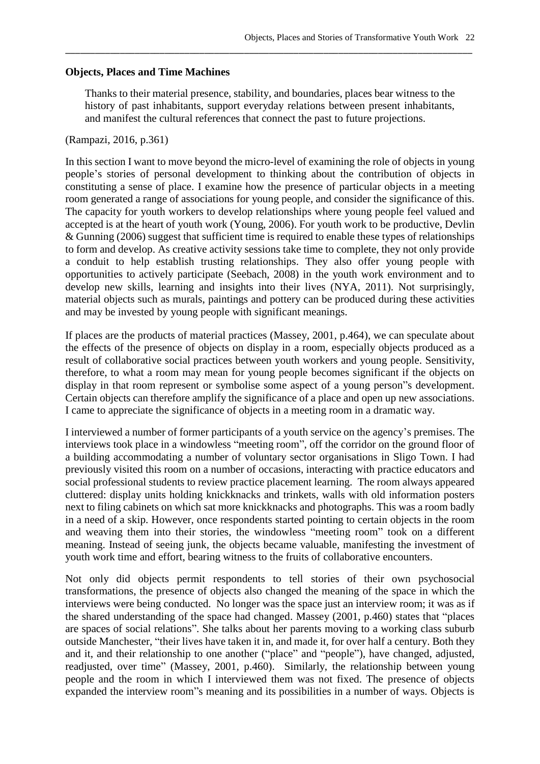#### **Objects, Places and Time Machines**

Thanks to their material presence, stability, and boundaries, places bear witness to the history of past inhabitants, support everyday relations between present inhabitants, and manifest the cultural references that connect the past to future projections.

\_\_\_\_\_\_\_\_\_\_\_\_\_\_\_\_\_\_\_\_\_\_\_\_\_\_\_\_\_\_\_\_\_\_\_\_\_\_\_\_\_\_\_\_\_\_\_\_\_\_\_\_\_\_\_\_\_\_\_\_\_\_\_\_\_\_\_\_\_\_\_\_\_\_\_\_\_\_\_\_\_\_

#### (Rampazi, 2016, p.361)

In this section I want to move beyond the micro-level of examining the role of objects in young people's stories of personal development to thinking about the contribution of objects in constituting a sense of place. I examine how the presence of particular objects in a meeting room generated a range of associations for young people, and consider the significance of this. The capacity for youth workers to develop relationships where young people feel valued and accepted is at the heart of youth work (Young, 2006). For youth work to be productive, Devlin & Gunning (2006) suggest that sufficient time is required to enable these types of relationships to form and develop. As creative activity sessions take time to complete, they not only provide a conduit to help establish trusting relationships. They also offer young people with opportunities to actively participate (Seebach, 2008) in the youth work environment and to develop new skills, learning and insights into their lives (NYA, 2011). Not surprisingly, material objects such as murals, paintings and pottery can be produced during these activities and may be invested by young people with significant meanings.

If places are the products of material practices (Massey, 2001, p.464), we can speculate about the effects of the presence of objects on display in a room, especially objects produced as a result of collaborative social practices between youth workers and young people. Sensitivity, therefore, to what a room may mean for young people becomes significant if the objects on display in that room represent or symbolise some aspect of a young person"s development. Certain objects can therefore amplify the significance of a place and open up new associations. I came to appreciate the significance of objects in a meeting room in a dramatic way.

I interviewed a number of former participants of a youth service on the agency's premises. The interviews took place in a windowless "meeting room", off the corridor on the ground floor of a building accommodating a number of voluntary sector organisations in Sligo Town. I had previously visited this room on a number of occasions, interacting with practice educators and social professional students to review practice placement learning. The room always appeared cluttered: display units holding knickknacks and trinkets, walls with old information posters next to filing cabinets on which sat more knickknacks and photographs. This was a room badly in a need of a skip. However, once respondents started pointing to certain objects in the room and weaving them into their stories, the windowless "meeting room" took on a different meaning. Instead of seeing junk, the objects became valuable, manifesting the investment of youth work time and effort, bearing witness to the fruits of collaborative encounters.

Not only did objects permit respondents to tell stories of their own psychosocial transformations, the presence of objects also changed the meaning of the space in which the interviews were being conducted. No longer was the space just an interview room; it was as if the shared understanding of the space had changed. Massey (2001, p.460) states that "places are spaces of social relations". She talks about her parents moving to a working class suburb outside Manchester, "their lives have taken it in, and made it, for over half a century. Both they and it, and their relationship to one another ("place" and "people"), have changed, adjusted, readjusted, over time" (Massey, 2001, p.460). Similarly, the relationship between young people and the room in which I interviewed them was not fixed. The presence of objects expanded the interview room"s meaning and its possibilities in a number of ways. Objects is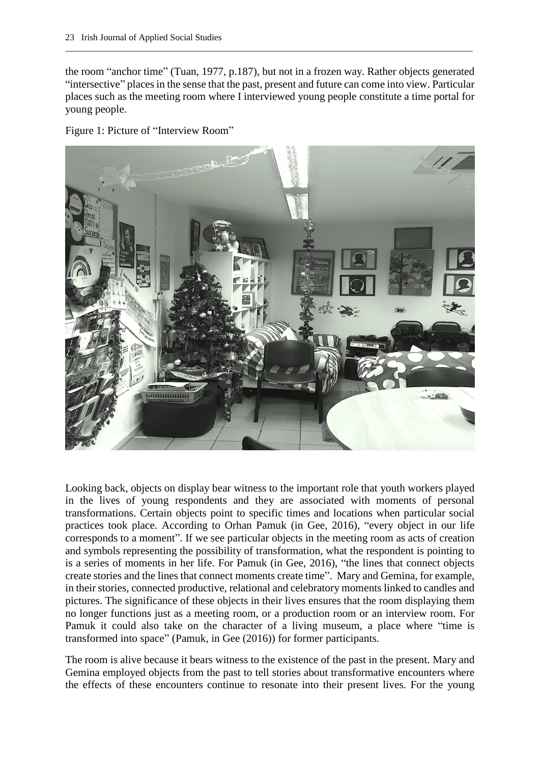the room "anchor time" (Tuan, 1977, p.187), but not in a frozen way. Rather objects generated "intersective" places in the sense that the past, present and future can come into view. Particular places such as the meeting room where I interviewed young people constitute a time portal for young people.

\_\_\_\_\_\_\_\_\_\_\_\_\_\_\_\_\_\_\_\_\_\_\_\_\_\_\_\_\_\_\_\_\_\_\_\_\_\_\_\_\_\_\_\_\_\_\_\_\_\_\_\_\_\_\_\_\_\_\_\_\_\_\_\_\_\_\_\_\_\_\_\_\_\_\_\_\_\_\_\_\_\_\_\_\_\_\_\_\_\_

Figure 1: Picture of "Interview Room"



Looking back, objects on display bear witness to the important role that youth workers played in the lives of young respondents and they are associated with moments of personal transformations. Certain objects point to specific times and locations when particular social practices took place. According to Orhan Pamuk (in Gee, 2016), "every object in our life corresponds to a moment". If we see particular objects in the meeting room as acts of creation and symbols representing the possibility of transformation, what the respondent is pointing to is a series of moments in her life. For Pamuk (in Gee, 2016), "the lines that connect objects create stories and the lines that connect moments create time". Mary and Gemina, for example, in their stories, connected productive, relational and celebratory moments linked to candles and pictures. The significance of these objects in their lives ensures that the room displaying them no longer functions just as a meeting room, or a production room or an interview room. For Pamuk it could also take on the character of a living museum, a place where "time is transformed into space" (Pamuk, in Gee (2016)) for former participants.

The room is alive because it bears witness to the existence of the past in the present. Mary and Gemina employed objects from the past to tell stories about transformative encounters where the effects of these encounters continue to resonate into their present lives. For the young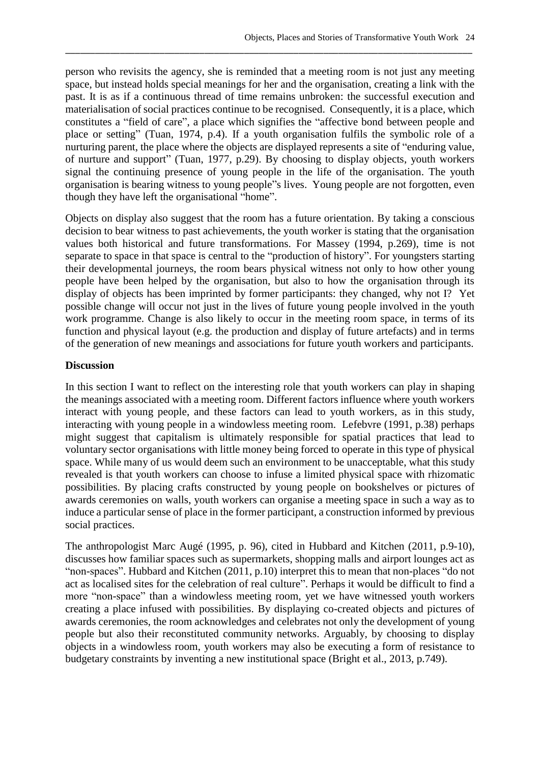person who revisits the agency, she is reminded that a meeting room is not just any meeting space, but instead holds special meanings for her and the organisation, creating a link with the past. It is as if a continuous thread of time remains unbroken: the successful execution and materialisation of social practices continue to be recognised. Consequently, it is a place, which constitutes a "field of care", a place which signifies the "affective bond between people and place or setting" (Tuan, 1974, p.4). If a youth organisation fulfils the symbolic role of a nurturing parent, the place where the objects are displayed represents a site of "enduring value, of nurture and support" (Tuan, 1977, p.29). By choosing to display objects, youth workers signal the continuing presence of young people in the life of the organisation. The youth organisation is bearing witness to young people"s lives. Young people are not forgotten, even though they have left the organisational "home".

\_\_\_\_\_\_\_\_\_\_\_\_\_\_\_\_\_\_\_\_\_\_\_\_\_\_\_\_\_\_\_\_\_\_\_\_\_\_\_\_\_\_\_\_\_\_\_\_\_\_\_\_\_\_\_\_\_\_\_\_\_\_\_\_\_\_\_\_\_\_\_\_\_\_\_\_\_\_\_\_\_\_

Objects on display also suggest that the room has a future orientation. By taking a conscious decision to bear witness to past achievements, the youth worker is stating that the organisation values both historical and future transformations. For Massey (1994, p.269), time is not separate to space in that space is central to the "production of history". For youngsters starting their developmental journeys, the room bears physical witness not only to how other young people have been helped by the organisation, but also to how the organisation through its display of objects has been imprinted by former participants: they changed, why not I? Yet possible change will occur not just in the lives of future young people involved in the youth work programme. Change is also likely to occur in the meeting room space, in terms of its function and physical layout (e.g. the production and display of future artefacts) and in terms of the generation of new meanings and associations for future youth workers and participants.

#### **Discussion**

In this section I want to reflect on the interesting role that youth workers can play in shaping the meanings associated with a meeting room. Different factors influence where youth workers interact with young people, and these factors can lead to youth workers, as in this study, interacting with young people in a windowless meeting room. Lefebvre (1991, p.38) perhaps might suggest that capitalism is ultimately responsible for spatial practices that lead to voluntary sector organisations with little money being forced to operate in this type of physical space. While many of us would deem such an environment to be unacceptable, what this study revealed is that youth workers can choose to infuse a limited physical space with rhizomatic possibilities. By placing crafts constructed by young people on bookshelves or pictures of awards ceremonies on walls, youth workers can organise a meeting space in such a way as to induce a particular sense of place in the former participant, a construction informed by previous social practices.

The anthropologist Marc Augé (1995, p. 96), cited in Hubbard and Kitchen (2011, p.9-10), discusses how familiar spaces such as supermarkets, shopping malls and airport lounges act as "non-spaces". Hubbard and Kitchen (2011, p.10) interpret this to mean that non-places "do not act as localised sites for the celebration of real culture". Perhaps it would be difficult to find a more "non-space" than a windowless meeting room, yet we have witnessed youth workers creating a place infused with possibilities. By displaying co-created objects and pictures of awards ceremonies, the room acknowledges and celebrates not only the development of young people but also their reconstituted community networks. Arguably, by choosing to display objects in a windowless room, youth workers may also be executing a form of resistance to budgetary constraints by inventing a new institutional space (Bright et al., 2013, p.749).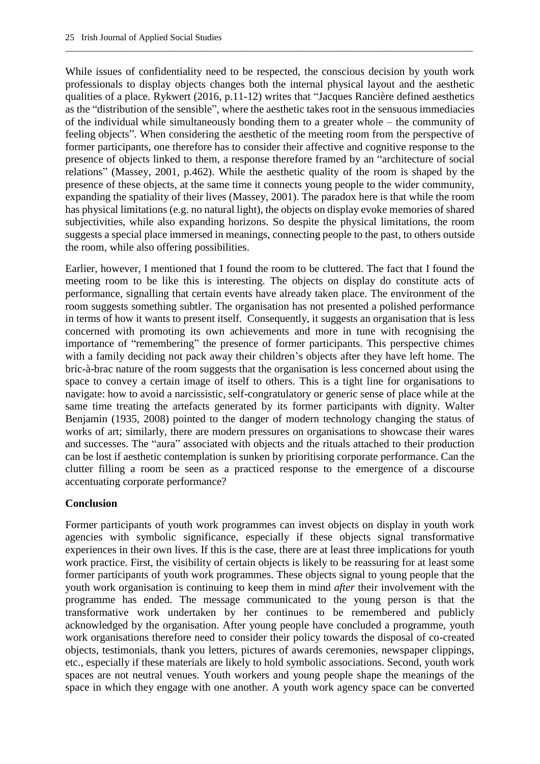While issues of confidentiality need to be respected, the conscious decision by youth work professionals to display objects changes both the internal physical layout and the aesthetic qualities of a place. Rykwert (2016, p.11-12) writes that "Jacques Rancière defined aesthetics as the "distribution of the sensible", where the aesthetic takes root in the sensuous immediacies of the individual while simultaneously bonding them to a greater whole – the community of feeling objects". When considering the aesthetic of the meeting room from the perspective of former participants, one therefore has to consider their affective and cognitive response to the presence of objects linked to them, a response therefore framed by an "architecture of social relations" (Massey, 2001, p.462). While the aesthetic quality of the room is shaped by the presence of these objects, at the same time it connects young people to the wider community, expanding the spatiality of their lives (Massey, 2001). The paradox here is that while the room has physical limitations (e.g. no natural light), the objects on display evoke memories of shared subjectivities, while also expanding horizons. So despite the physical limitations, the room suggests a special place immersed in meanings, connecting people to the past, to others outside the room, while also offering possibilities.

\_\_\_\_\_\_\_\_\_\_\_\_\_\_\_\_\_\_\_\_\_\_\_\_\_\_\_\_\_\_\_\_\_\_\_\_\_\_\_\_\_\_\_\_\_\_\_\_\_\_\_\_\_\_\_\_\_\_\_\_\_\_\_\_\_\_\_\_\_\_\_\_\_\_\_\_\_\_\_\_\_\_\_\_\_\_\_\_\_\_

Earlier, however, I mentioned that I found the room to be cluttered. The fact that I found the meeting room to be like this is interesting. The objects on display do constitute acts of performance, signalling that certain events have already taken place. The environment of the room suggests something subtler. The organisation has not presented a polished performance in terms of how it wants to present itself. Consequently, it suggests an organisation that is less concerned with promoting its own achievements and more in tune with recognising the importance of "remembering" the presence of former participants. This perspective chimes with a family deciding not pack away their children's objects after they have left home. The bric-à-brac nature of the room suggests that the organisation is less concerned about using the space to convey a certain image of itself to others. This is a tight line for organisations to navigate: how to avoid a narcissistic, self-congratulatory or generic sense of place while at the same time treating the artefacts generated by its former participants with dignity. Walter Benjamin (1935, 2008) pointed to the danger of modern technology changing the status of works of art; similarly, there are modern pressures on organisations to showcase their wares and successes. The "aura" associated with objects and the rituals attached to their production can be lost if aesthetic contemplation is sunken by prioritising corporate performance. Can the clutter filling a room be seen as a practiced response to the emergence of a discourse accentuating corporate performance?

## **Conclusion**

Former participants of youth work programmes can invest objects on display in youth work agencies with symbolic significance, especially if these objects signal transformative experiences in their own lives. If this is the case, there are at least three implications for youth work practice. First, the visibility of certain objects is likely to be reassuring for at least some former participants of youth work programmes. These objects signal to young people that the youth work organisation is continuing to keep them in mind *after* their involvement with the programme has ended. The message communicated to the young person is that the transformative work undertaken by her continues to be remembered and publicly acknowledged by the organisation. After young people have concluded a programme, youth work organisations therefore need to consider their policy towards the disposal of co-created objects, testimonials, thank you letters, pictures of awards ceremonies, newspaper clippings, etc., especially if these materials are likely to hold symbolic associations. Second, youth work spaces are not neutral venues. Youth workers and young people shape the meanings of the space in which they engage with one another. A youth work agency space can be converted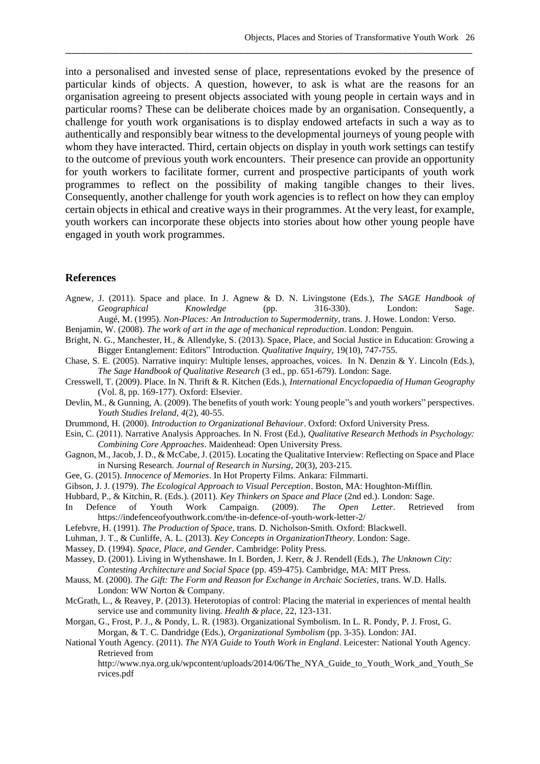into a personalised and invested sense of place, representations evoked by the presence of particular kinds of objects. A question, however, to ask is what are the reasons for an organisation agreeing to present objects associated with young people in certain ways and in particular rooms? These can be deliberate choices made by an organisation. Consequently, a challenge for youth work organisations is to display endowed artefacts in such a way as to authentically and responsibly bear witness to the developmental journeys of young people with whom they have interacted. Third, certain objects on display in youth work settings can testify to the outcome of previous youth work encounters. Their presence can provide an opportunity for youth workers to facilitate former, current and prospective participants of youth work programmes to reflect on the possibility of making tangible changes to their lives. Consequently, another challenge for youth work agencies is to reflect on how they can employ certain objects in ethical and creative ways in their programmes. At the very least, for example, youth workers can incorporate these objects into stories about how other young people have engaged in youth work programmes.

\_\_\_\_\_\_\_\_\_\_\_\_\_\_\_\_\_\_\_\_\_\_\_\_\_\_\_\_\_\_\_\_\_\_\_\_\_\_\_\_\_\_\_\_\_\_\_\_\_\_\_\_\_\_\_\_\_\_\_\_\_\_\_\_\_\_\_\_\_\_\_\_\_\_\_\_\_\_\_\_\_\_

#### **References**

Agnew, J. (2011). Space and place. In J. Agnew & D. N. Livingstone (Eds.), *The SAGE Handbook of Geographical Knowledge* (pp. 316-330). London: Sage. Augé, M. (1995). *Non-Places: An Introduction to Supermodernity*, trans. J. Howe. London: Verso.

Benjamin, W. (2008). *The work of art in the age of mechanical reproduction*. London: Penguin.

Bright, N. G., Manchester, H., & Allendyke, S. (2013). Space, Place, and Social Justice in Education: Growing a Bigger Entanglement: Editors" Introduction. *Qualitative Inquiry*, 19(10), 747-755.

Chase, S. E. (2005). Narrative inquiry: Multiple lenses, approaches, voices. In N. Denzin & Y. Lincoln (Eds.), *The Sage Handbook of Qualitative Research* (3 ed., pp. 651-679). London: Sage.

- Cresswell, T. (2009). Place. In N. Thrift & R. Kitchen (Eds.), *International Encyclopaedia of Human Geography* (Vol. 8, pp. 169-177). Oxford: Elsevier.
- Devlin, M., & Gunning, A. (2009). The benefits of youth work: Young people"s and youth workers" perspectives. *Youth Studies Ireland, 4*(2), 40-55.

Drummond, H. (2000). *Introduction to Organizational Behaviour*. Oxford: Oxford University Press.

- Esin, C. (2011). Narrative Analysis Approaches. In N. Frost (Ed.), *Qualitative Research Methods in Psychology: Combining Core Approaches*. Maidenhead: Open University Press.
- Gagnon, M., Jacob, J. D., & McCabe, J. (2015). Locating the Qualitative Interview: Reflecting on Space and Place in Nursing Research. *Journal of Research in Nursing*, 20(3), 203-215.
- Gee, G. (2015). *Innocence of Memories*. In Hot Property Films. Ankara: Filmmarti.
- Gibson, J. J. (1979). *The Ecological Approach to Visual Perception*. Boston, MA: Houghton-Mifflin.
- Hubbard, P., & Kitchin, R. (Eds.). (2011). *Key Thinkers on Space and Place* (2nd ed.). London: Sage.
- In Defence of Youth Work Campaign. (2009). *The Open Letter*. Retrieved from https://indefenceofyouthwork.com/the-in-defence-of-youth-work-letter-2/
- Lefebvre, H. (1991). *The Production of Space,* trans. D. Nicholson-Smith. Oxford: Blackwell.
- Luhman, J. T., & Cunliffe, A. L. (2013). *Key Concepts in OrganizationTtheory*. London: Sage.
- Massey, D. (1994). *Space, Place, and Gender*. Cambridge: Polity Press.
- Massey, D. (2001). Living in Wythenshawe. In I. Borden, J. Kerr, & J. Rendell (Eds.), *The Unknown City: Contesting Architecture and Social Space* (pp. 459-475). Cambridge, MA: MIT Press.
- Mauss, M. (2000). *The Gift: The Form and Reason for Exchange in Archaic Societies, trans. W.D. Halls.* London: WW Norton & Company.
- McGrath, L., & Reavey, P. (2013). Heterotopias of control: Placing the material in experiences of mental health service use and community living. *Health & place*, 22, 123-131.
- Morgan, G., Frost, P. J., & Pondy, L. R. (1983). Organizational Symbolism. In L. R. Pondy, P. J. Frost, G. Morgan, & T. C. Dandridge (Eds.), *Organizational Symbolism* (pp. 3-35). London: JAI.
- National Youth Agency. (2011). *The NYA Guide to Youth Work in England*. Leicester: National Youth Agency. Retrieved from
	- http://www.nya.org.uk/wpcontent/uploads/2014/06/The\_NYA\_Guide\_to\_Youth\_Work\_and\_Youth\_Se rvices.pdf